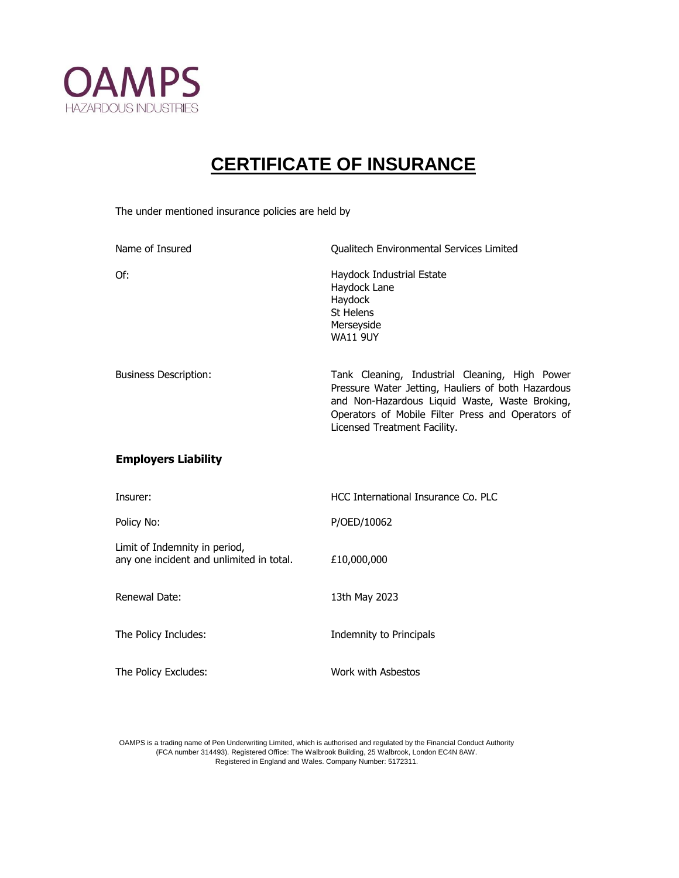

## **CERTIFICATE OF INSURANCE**

The under mentioned insurance policies are held by

| Name of Insured                                                           | Qualitech Environmental Services Limited                                                                                                                                                                                                    |
|---------------------------------------------------------------------------|---------------------------------------------------------------------------------------------------------------------------------------------------------------------------------------------------------------------------------------------|
| Of:                                                                       | Haydock Industrial Estate<br>Haydock Lane<br>Haydock<br>St Helens<br>Merseyside<br><b>WA11 9UY</b>                                                                                                                                          |
| <b>Business Description:</b>                                              | Tank Cleaning, Industrial Cleaning, High Power<br>Pressure Water Jetting, Hauliers of both Hazardous<br>and Non-Hazardous Liquid Waste, Waste Broking,<br>Operators of Mobile Filter Press and Operators of<br>Licensed Treatment Facility. |
| <b>Employers Liability</b>                                                |                                                                                                                                                                                                                                             |
| Insurer:                                                                  | HCC International Insurance Co. PLC                                                                                                                                                                                                         |
| Policy No:                                                                | P/OED/10062                                                                                                                                                                                                                                 |
| Limit of Indemnity in period,<br>any one incident and unlimited in total. | £10,000,000                                                                                                                                                                                                                                 |
| Renewal Date:                                                             | 13th May 2023                                                                                                                                                                                                                               |
| The Policy Includes:                                                      | Indemnity to Principals                                                                                                                                                                                                                     |
| The Policy Excludes:                                                      | Work with Asbestos                                                                                                                                                                                                                          |

OAMPS is a trading name of Pen Underwriting Limited, which is authorised and regulated by the Financial Conduct Authority (FCA number 314493). Registered Office: The Walbrook Building, 25 Walbrook, London EC4N 8AW. Registered in England and Wales. Company Number: 5172311.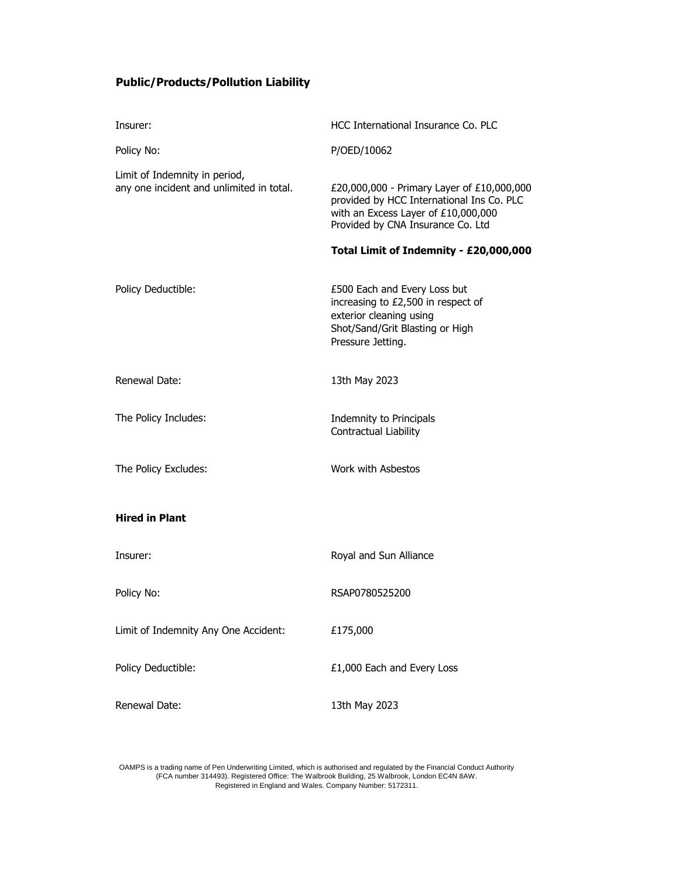## **Public/Products/Pollution Liability**

| Insurer:                                                                  | HCC International Insurance Co. PLC                                                                                                                                 |
|---------------------------------------------------------------------------|---------------------------------------------------------------------------------------------------------------------------------------------------------------------|
| Policy No:                                                                | P/OED/10062                                                                                                                                                         |
| Limit of Indemnity in period,<br>any one incident and unlimited in total. | £20,000,000 - Primary Layer of £10,000,000<br>provided by HCC International Ins Co. PLC<br>with an Excess Layer of £10,000,000<br>Provided by CNA Insurance Co. Ltd |
|                                                                           | Total Limit of Indemnity - £20,000,000                                                                                                                              |
| Policy Deductible:                                                        | £500 Each and Every Loss but<br>increasing to £2,500 in respect of<br>exterior cleaning using<br>Shot/Sand/Grit Blasting or High<br>Pressure Jetting.               |
| Renewal Date:                                                             | 13th May 2023                                                                                                                                                       |
| The Policy Includes:                                                      | Indemnity to Principals<br>Contractual Liability                                                                                                                    |
| The Policy Excludes:                                                      | Work with Asbestos                                                                                                                                                  |
| <b>Hired in Plant</b>                                                     |                                                                                                                                                                     |
| Insurer:                                                                  | Royal and Sun Alliance                                                                                                                                              |
| Policy No:                                                                | RSAP0780525200                                                                                                                                                      |
| Limit of Indemnity Any One Accident:                                      | £175,000                                                                                                                                                            |
| Policy Deductible:                                                        | £1,000 Each and Every Loss                                                                                                                                          |
| Renewal Date:                                                             | 13th May 2023                                                                                                                                                       |

OAMPS is a trading name of Pen Underwriting Limited, which is authorised and regulated by the Financial Conduct Authority (FCA number 314493). Registered Office: The Walbrook Building, 25 Walbrook, London EC4N 8AW. Registered in England and Wales. Company Number: 5172311.